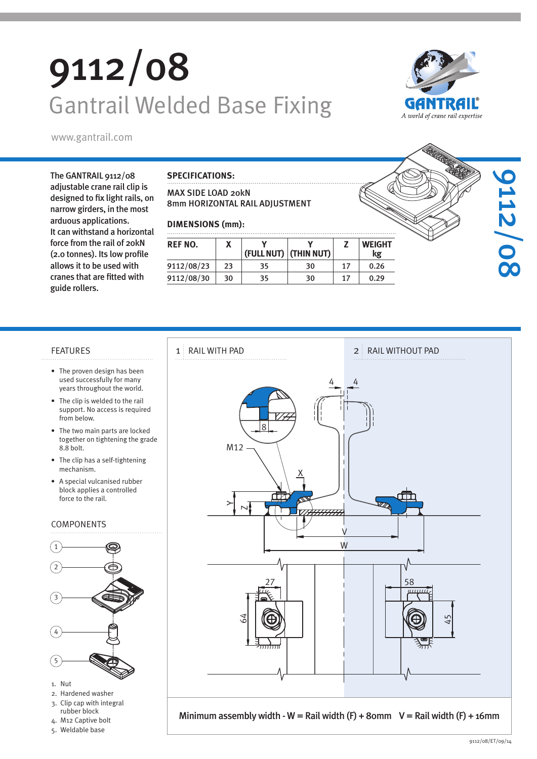# 9112/08 Gantrail Welded Base Fixing



The GANTRAIL 9112/08 adjustable crane rail clip is designed to fix light rails, on narrow girders, in the most arduous applications. It can withstand a horizontal force from the rail of 20kN (2.0 tonnes). Its low profile allows it to be used with cranes that are fitted with guide rollers.

#### **SPECIFICATIONS:**

#### MAX SIDE LOAD 20kN 8mm HORIZONTAL RAIL ADJUSTMENT

#### **DIMENSIONS (mm):**

| REF NO.    |    | (FULL NUT) | (THIN NUT) |    | <b>WEIGHT</b><br>kg |  |
|------------|----|------------|------------|----|---------------------|--|
| 9112/08/23 | つろ | 35         | 30         | 17 | 0.26                |  |
| 9112/08/30 | 30 | 35         | 30         | 17 | 0.29                |  |

- The proven design has been used successfully for many years throughout the world.
- The clip is welded to the rail support. No access is required from below.
- The two main parts are locked together on tightening the grade 8.8 bolt.
- The clip has a self-tightening mechanism.
- A special vulcanised rubber block applies a controlled force to the rail.

#### COMPONENTS



- 
- 3. Clip cap with integral
- rubber block 4. M12 Captive bolt
- 5. Weldable base





9112/08